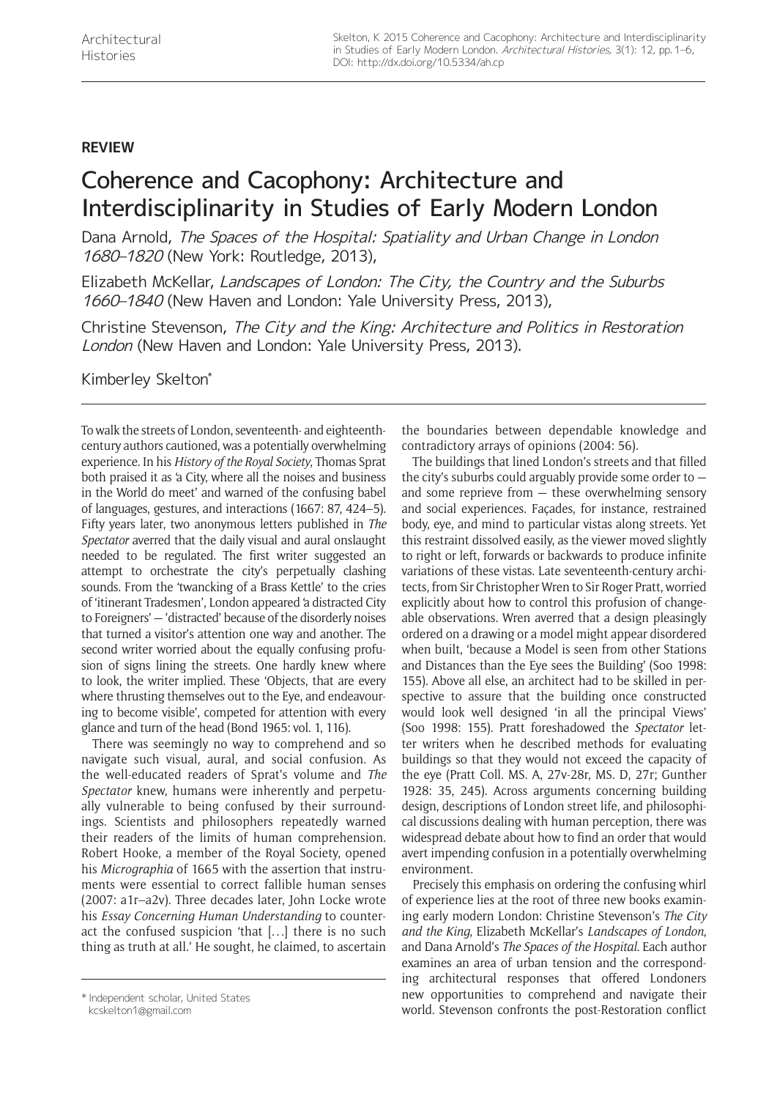## **REVIEW**

## Coherence and Cacophony: Architecture and Interdisciplinarity in Studies of Early Modern London

Dana Arnold, The Spaces of the Hospital: Spatiality and Urban Change in London 1680–1820 (New York: Routledge, 2013),

Elizabeth McKellar, Landscapes of London: The City, the Country and the Suburbs 1660–1840 (New Haven and London: Yale University Press, 2013),

Christine Stevenson, The City and the King: Architecture and Politics in Restoration London (New Haven and London: Yale University Press, 2013).

Kimberley Skelton\*

To walk the streets of London, seventeenth- and eighteenthcentury authors cautioned, was a potentially overwhelming experience. In his *History of the Royal Society*, Thomas Sprat both praised it as 'a City, where all the noises and business in the World do meet' and warned of the confusing babel of languages, gestures, and interactions (1667: 87, 424–5). Fifty years later, two anonymous letters published in *The Spectator* averred that the daily visual and aural onslaught needed to be regulated. The first writer suggested an attempt to orchestrate the city's perpetually clashing sounds. From the 'twancking of a Brass Kettle' to the cries of 'itinerant Tradesmen', London appeared 'a distracted City to Foreigners' — 'distracted' because of the disorderly noises that turned a visitor's attention one way and another. The second writer worried about the equally confusing profusion of signs lining the streets. One hardly knew where to look, the writer implied. These 'Objects, that are every where thrusting themselves out to the Eye, and endeavouring to become visible', competed for attention with every glance and turn of the head (Bond 1965: vol. 1, 116).

There was seemingly no way to comprehend and so navigate such visual, aural, and social confusion. As the well-educated readers of Sprat's volume and *The Spectator* knew, humans were inherently and perpetually vulnerable to being confused by their surroundings. Scientists and philosophers repeatedly warned their readers of the limits of human comprehension. Robert Hooke, a member of the Royal Society, opened his *Micrographia* of 1665 with the assertion that instruments were essential to correct fallible human senses (2007: a1r–a2v). Three decades later, John Locke wrote his *Essay Concerning Human Understanding* to counteract the confused suspicion 'that [...] there is no such thing as truth at all.' He sought, he claimed, to ascertain

[kcskelton1@gmail.com](mailto:kcskelton1@gmail.com)

the boundaries between dependable knowledge and contradictory arrays of opinions (2004: 56).

The buildings that lined London's streets and that filled the city's suburbs could arguably provide some order to and some reprieve from — these overwhelming sensory and social experiences. Façades, for instance, restrained body, eye, and mind to particular vistas along streets. Yet this restraint dissolved easily, as the viewer moved slightly to right or left, forwards or backwards to produce infinite variations of these vistas. Late seventeenth-century architects, from Sir Christopher Wren to Sir Roger Pratt, worried explicitly about how to control this profusion of changeable observations. Wren averred that a design pleasingly ordered on a drawing or a model might appear disordered when built, 'because a Model is seen from other Stations and Distances than the Eye sees the Building' (Soo 1998: 155). Above all else, an architect had to be skilled in perspective to assure that the building once constructed would look well designed 'in all the principal Views' (Soo 1998: 155). Pratt foreshadowed the *Spectator* letter writers when he described methods for evaluating buildings so that they would not exceed the capacity of the eye (Pratt Coll. MS. A, 27v-28r, MS. D, 27r; Gunther 1928: 35, 245). Across arguments concerning building design, descriptions of London street life, and philosophical discussions dealing with human perception, there was widespread debate about how to find an order that would avert impending confusion in a potentially overwhelming environment.

Precisely this emphasis on ordering the confusing whirl of experience lies at the root of three new books examining early modern London: Christine Stevenson's *The City and the King*, Elizabeth McKellar's *Landscapes of London*, and Dana Arnold's *The Spaces of the Hospital*. Each author examines an area of urban tension and the corresponding architectural responses that offered Londoners new opportunities to comprehend and navigate their world. Stevenson confronts the post-Restoration conflict

<sup>\*</sup> Independent scholar, United States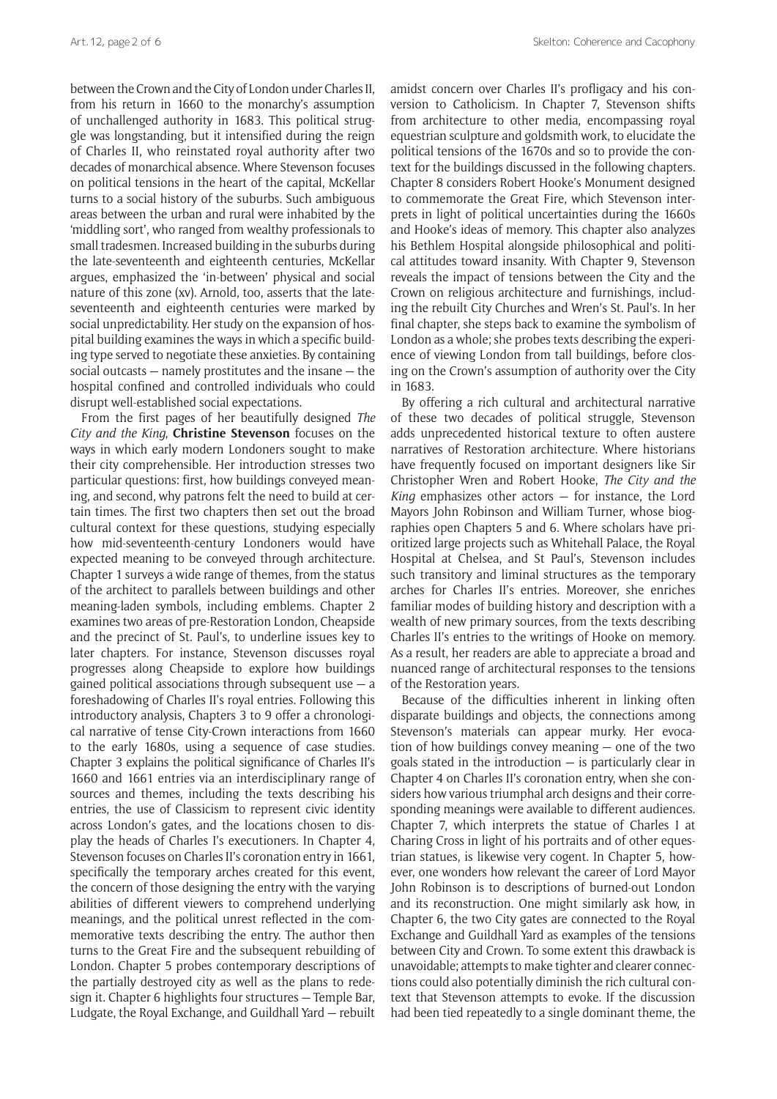between the Crown and the City of London under Charles II. from his return in 1660 to the monarchy's assumption of unchallenged authority in 1683. This political struggle was longstanding, but it intensified during the reign of Charles II, who reinstated royal authority after two decades of monarchical absence. Where Stevenson focuses on political tensions in the heart of the capital, McKellar turns to a social history of the suburbs. Such ambiguous areas between the urban and rural were inhabited by the 'middling sort', who ranged from wealthy professionals to small tradesmen. Increased building in the suburbs during the late-seventeenth and eighteenth centuries, McKellar argues, emphasized the 'in-between' physical and social nature of this zone (xv). Arnold, too, asserts that the lateseventeenth and eighteenth centuries were marked by social unpredictability. Her study on the expansion of hospital building examines the ways in which a specific building type served to negotiate these anxieties. By containing social outcasts — namely prostitutes and the insane — the hospital confined and controlled individuals who could disrupt well-established social expectations.

From the first pages of her beautifully designed *The City and the King*, **Christine Stevenson** focuses on the ways in which early modern Londoners sought to make their city comprehensible. Her introduction stresses two particular questions: first, how buildings conveyed meaning, and second, why patrons felt the need to build at certain times. The first two chapters then set out the broad cultural context for these questions, studying especially how mid-seventeenth-century Londoners would have expected meaning to be conveyed through architecture. Chapter 1 surveys a wide range of themes, from the status of the architect to parallels between buildings and other meaning-laden symbols, including emblems. Chapter 2 examines two areas of pre-Restoration London, Cheapside and the precinct of St. Paul's, to underline issues key to later chapters. For instance, Stevenson discusses royal progresses along Cheapside to explore how buildings gained political associations through subsequent use  $-$  a foreshadowing of Charles II's royal entries. Following this introductory analysis, Chapters 3 to 9 offer a chronological narrative of tense City-Crown interactions from 1660 to the early 1680s, using a sequence of case studies. Chapter 3 explains the political significance of Charles II's 1660 and 1661 entries via an interdisciplinary range of sources and themes, including the texts describing his entries, the use of Classicism to represent civic identity across London's gates, and the locations chosen to display the heads of Charles I's executioners. In Chapter 4, Stevenson focuses on Charles II's coronation entry in 1661, specifically the temporary arches created for this event, the concern of those designing the entry with the varying abilities of different viewers to comprehend underlying meanings, and the political unrest reflected in the commemorative texts describing the entry. The author then turns to the Great Fire and the subsequent rebuilding of London. Chapter 5 probes contemporary descriptions of the partially destroyed city as well as the plans to redesign it. Chapter 6 highlights four structures — Temple Bar, Ludgate, the Royal Exchange, and Guildhall Yard — rebuilt

amidst concern over Charles II's profligacy and his conversion to Catholicism. In Chapter 7, Stevenson shifts from architecture to other media, encompassing royal equestrian sculpture and goldsmith work, to elucidate the political tensions of the 1670s and so to provide the context for the buildings discussed in the following chapters. Chapter 8 considers Robert Hooke's Monument designed to commemorate the Great Fire, which Stevenson interprets in light of political uncertainties during the 1660s and Hooke's ideas of memory. This chapter also analyzes his Bethlem Hospital alongside philosophical and political attitudes toward insanity. With Chapter 9, Stevenson reveals the impact of tensions between the City and the Crown on religious architecture and furnishings, including the rebuilt City Churches and Wren's St. Paul's. In her final chapter, she steps back to examine the symbolism of London as a whole; she probes texts describing the experience of viewing London from tall buildings, before closing on the Crown's assumption of authority over the City in 1683.

By offering a rich cultural and architectural narrative of these two decades of political struggle, Stevenson adds unprecedented historical texture to often austere narratives of Restoration architecture. Where historians have frequently focused on important designers like Sir Christopher Wren and Robert Hooke, *The City and the King* emphasizes other actors — for instance, the Lord Mayors John Robinson and William Turner, whose biographies open Chapters 5 and 6. Where scholars have prioritized large projects such as Whitehall Palace, the Royal Hospital at Chelsea, and St Paul's, Stevenson includes such transitory and liminal structures as the temporary arches for Charles II's entries. Moreover, she enriches familiar modes of building history and description with a wealth of new primary sources, from the texts describing Charles II's entries to the writings of Hooke on memory. As a result, her readers are able to appreciate a broad and nuanced range of architectural responses to the tensions of the Restoration years.

Because of the difficulties inherent in linking often disparate buildings and objects, the connections among Stevenson's materials can appear murky. Her evocation of how buildings convey meaning — one of the two goals stated in the introduction — is particularly clear in Chapter 4 on Charles II's coronation entry, when she considers how various triumphal arch designs and their corresponding meanings were available to different audiences. Chapter 7, which interprets the statue of Charles I at Charing Cross in light of his portraits and of other equestrian statues, is likewise very cogent. In Chapter 5, however, one wonders how relevant the career of Lord Mayor John Robinson is to descriptions of burned-out London and its reconstruction. One might similarly ask how, in Chapter 6, the two City gates are connected to the Royal Exchange and Guildhall Yard as examples of the tensions between City and Crown. To some extent this drawback is unavoidable; attempts to make tighter and clearer connections could also potentially diminish the rich cultural context that Stevenson attempts to evoke. If the discussion had been tied repeatedly to a single dominant theme, the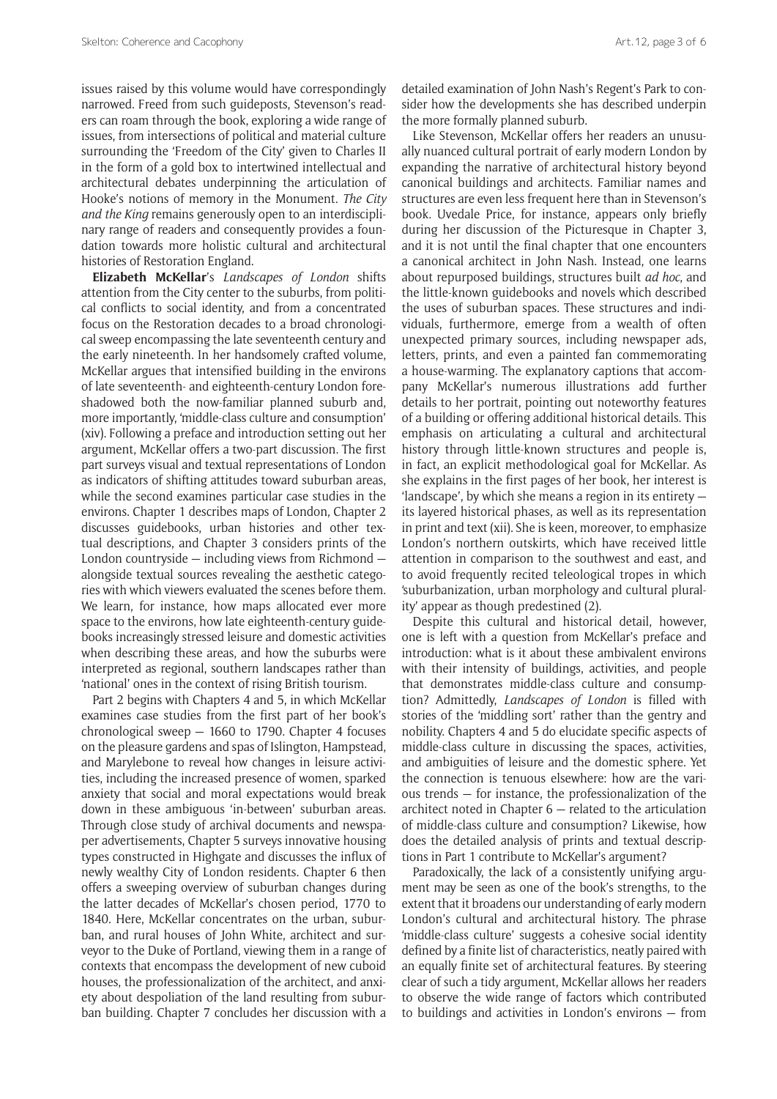issues raised by this volume would have correspondingly narrowed. Freed from such guideposts, Stevenson's readers can roam through the book, exploring a wide range of issues, from intersections of political and material culture surrounding the 'Freedom of the City' given to Charles II in the form of a gold box to intertwined intellectual and architectural debates underpinning the articulation of Hooke's notions of memory in the Monument. *The City and the King* remains generously open to an interdisciplinary range of readers and consequently provides a foundation towards more holistic cultural and architectural histories of Restoration England.

**Elizabeth McKellar**'s *Landscapes of London* shifts attention from the City center to the suburbs, from political conflicts to social identity, and from a concentrated focus on the Restoration decades to a broad chronological sweep encompassing the late seventeenth century and the early nineteenth. In her handsomely crafted volume, McKellar argues that intensified building in the environs of late seventeenth- and eighteenth-century London foreshadowed both the now-familiar planned suburb and, more importantly, 'middle-class culture and consumption' (xiv). Following a preface and introduction setting out her argument, McKellar offers a two-part discussion. The first part surveys visual and textual representations of London as indicators of shifting attitudes toward suburban areas, while the second examines particular case studies in the environs. Chapter 1 describes maps of London, Chapter 2 discusses guidebooks, urban histories and other textual descriptions, and Chapter 3 considers prints of the London countryside — including views from Richmond alongside textual sources revealing the aesthetic categories with which viewers evaluated the scenes before them. We learn, for instance, how maps allocated ever more space to the environs, how late eighteenth-century guidebooks increasingly stressed leisure and domestic activities when describing these areas, and how the suburbs were interpreted as regional, southern landscapes rather than 'national' ones in the context of rising British tourism.

Part 2 begins with Chapters 4 and 5, in which McKellar examines case studies from the first part of her book's chronological sweep — 1660 to 1790. Chapter 4 focuses on the pleasure gardens and spas of Islington, Hampstead, and Marylebone to reveal how changes in leisure activities, including the increased presence of women, sparked anxiety that social and moral expectations would break down in these ambiguous 'in-between' suburban areas. Through close study of archival documents and newspaper advertisements, Chapter 5 surveys innovative housing types constructed in Highgate and discusses the influx of newly wealthy City of London residents. Chapter 6 then offers a sweeping overview of suburban changes during the latter decades of McKellar's chosen period, 1770 to 1840. Here, McKellar concentrates on the urban, suburban, and rural houses of John White, architect and surveyor to the Duke of Portland, viewing them in a range of contexts that encompass the development of new cuboid houses, the professionalization of the architect, and anxiety about despoliation of the land resulting from suburban building. Chapter 7 concludes her discussion with a

detailed examination of John Nash's Regent's Park to consider how the developments she has described underpin the more formally planned suburb.

Like Stevenson, McKellar offers her readers an unusually nuanced cultural portrait of early modern London by expanding the narrative of architectural history beyond canonical buildings and architects. Familiar names and structures are even less frequent here than in Stevenson's book. Uvedale Price, for instance, appears only briefly during her discussion of the Picturesque in Chapter 3, and it is not until the final chapter that one encounters a canonical architect in John Nash. Instead, one learns about repurposed buildings, structures built *ad hoc*, and the little-known guidebooks and novels which described the uses of suburban spaces. These structures and individuals, furthermore, emerge from a wealth of often unexpected primary sources, including newspaper ads, letters, prints, and even a painted fan commemorating a house-warming. The explanatory captions that accompany McKellar's numerous illustrations add further details to her portrait, pointing out noteworthy features of a building or offering additional historical details. This emphasis on articulating a cultural and architectural history through little-known structures and people is, in fact, an explicit methodological goal for McKellar. As she explains in the first pages of her book, her interest is 'landscape', by which she means a region in its entirety its layered historical phases, as well as its representation in print and text (xii). She is keen, moreover, to emphasize London's northern outskirts, which have received little attention in comparison to the southwest and east, and to avoid frequently recited teleological tropes in which 'suburbanization, urban morphology and cultural plurality' appear as though predestined (2).

Despite this cultural and historical detail, however, one is left with a question from McKellar's preface and introduction: what is it about these ambivalent environs with their intensity of buildings, activities, and people that demonstrates middle-class culture and consumption? Admittedly, *Landscapes of London* is filled with stories of the 'middling sort' rather than the gentry and nobility. Chapters 4 and 5 do elucidate specific aspects of middle-class culture in discussing the spaces, activities, and ambiguities of leisure and the domestic sphere. Yet the connection is tenuous elsewhere: how are the various trends — for instance, the professionalization of the architect noted in Chapter 6 — related to the articulation of middle-class culture and consumption? Likewise, how does the detailed analysis of prints and textual descriptions in Part 1 contribute to McKellar's argument?

Paradoxically, the lack of a consistently unifying argument may be seen as one of the book's strengths, to the extent that it broadens our understanding of early modern London's cultural and architectural history. The phrase 'middle-class culture' suggests a cohesive social identity defined by a finite list of characteristics, neatly paired with an equally finite set of architectural features. By steering clear of such a tidy argument, McKellar allows her readers to observe the wide range of factors which contributed to buildings and activities in London's environs — from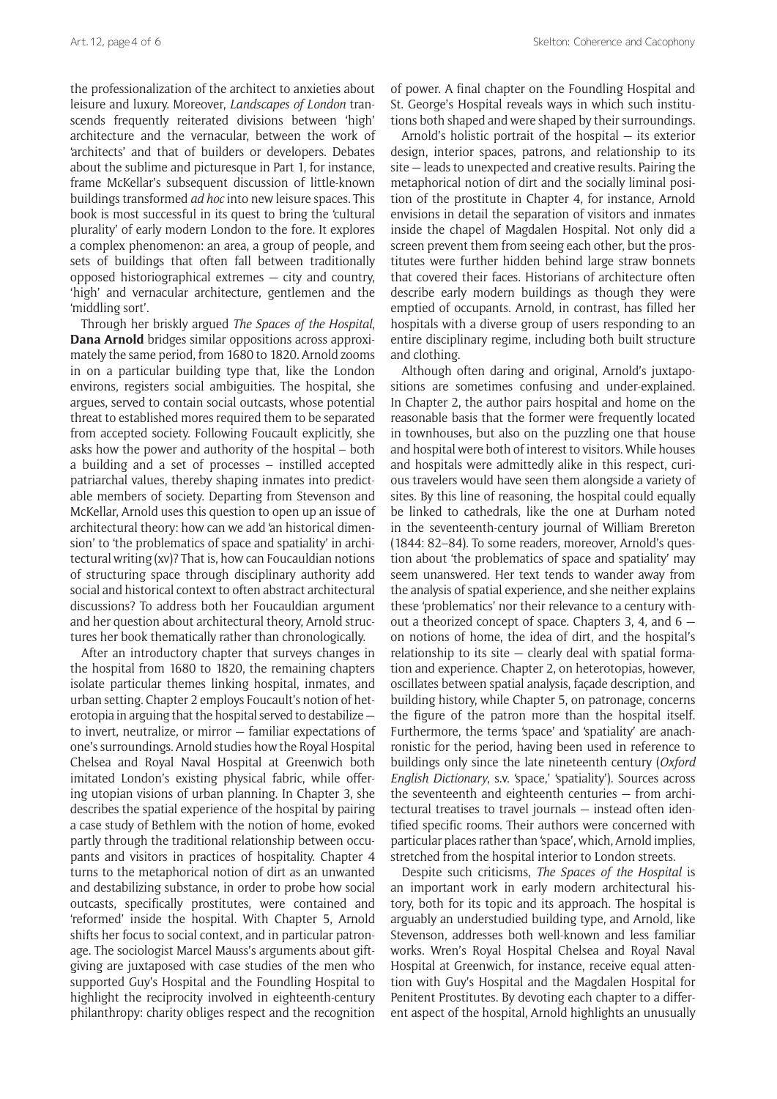the professionalization of the architect to anxieties about leisure and luxury. Moreover, *Landscapes of London* transcends frequently reiterated divisions between 'high' architecture and the vernacular, between the work of 'architects' and that of builders or developers. Debates about the sublime and picturesque in Part 1, for instance, frame McKellar's subsequent discussion of little-known buildings transformed *ad hoc* into new leisure spaces. This book is most successful in its quest to bring the 'cultural plurality' of early modern London to the fore. It explores a complex phenomenon: an area, a group of people, and sets of buildings that often fall between traditionally opposed historiographical extremes — city and country, 'high' and vernacular architecture, gentlemen and the 'middling sort'.

Through her briskly argued *The Spaces of the Hospital*, **Dana Arnold** bridges similar oppositions across approximately the same period, from 1680 to 1820. Arnold zooms in on a particular building type that, like the London environs, registers social ambiguities. The hospital, she argues, served to contain social outcasts, whose potential threat to established mores required them to be separated from accepted society. Following Foucault explicitly, she asks how the power and authority of the hospital – both a building and a set of processes – instilled accepted patriarchal values, thereby shaping inmates into predictable members of society. Departing from Stevenson and McKellar, Arnold uses this question to open up an issue of architectural theory: how can we add 'an historical dimension' to 'the problematics of space and spatiality' in architectural writing (xv)? That is, how can Foucauldian notions of structuring space through disciplinary authority add social and historical context to often abstract architectural discussions? To address both her Foucauldian argument and her question about architectural theory, Arnold structures her book thematically rather than chronologically.

After an introductory chapter that surveys changes in the hospital from 1680 to 1820, the remaining chapters isolate particular themes linking hospital, inmates, and urban setting. Chapter 2 employs Foucault's notion of heterotopia in arguing that the hospital served to destabilize to invert, neutralize, or mirror — familiar expectations of one's surroundings. Arnold studies how the Royal Hospital Chelsea and Royal Naval Hospital at Greenwich both imitated London's existing physical fabric, while offering utopian visions of urban planning. In Chapter 3, she describes the spatial experience of the hospital by pairing a case study of Bethlem with the notion of home, evoked partly through the traditional relationship between occupants and visitors in practices of hospitality. Chapter 4 turns to the metaphorical notion of dirt as an unwanted and destabilizing substance, in order to probe how social outcasts, specifically prostitutes, were contained and 'reformed' inside the hospital. With Chapter 5, Arnold shifts her focus to social context, and in particular patronage. The sociologist Marcel Mauss's arguments about giftgiving are juxtaposed with case studies of the men who supported Guy's Hospital and the Foundling Hospital to highlight the reciprocity involved in eighteenth-century philanthropy: charity obliges respect and the recognition

of power. A final chapter on the Foundling Hospital and St. George's Hospital reveals ways in which such institutions both shaped and were shaped by their surroundings.

Arnold's holistic portrait of the hospital — its exterior design, interior spaces, patrons, and relationship to its site — leads to unexpected and creative results. Pairing the metaphorical notion of dirt and the socially liminal position of the prostitute in Chapter 4, for instance, Arnold envisions in detail the separation of visitors and inmates inside the chapel of Magdalen Hospital. Not only did a screen prevent them from seeing each other, but the prostitutes were further hidden behind large straw bonnets that covered their faces. Historians of architecture often describe early modern buildings as though they were emptied of occupants. Arnold, in contrast, has filled her hospitals with a diverse group of users responding to an entire disciplinary regime, including both built structure and clothing.

Although often daring and original, Arnold's juxtapositions are sometimes confusing and under-explained. In Chapter 2, the author pairs hospital and home on the reasonable basis that the former were frequently located in townhouses, but also on the puzzling one that house and hospital were both of interest to visitors. While houses and hospitals were admittedly alike in this respect, curious travelers would have seen them alongside a variety of sites. By this line of reasoning, the hospital could equally be linked to cathedrals, like the one at Durham noted in the seventeenth-century journal of William Brereton (1844: 82–84). To some readers, moreover, Arnold's question about 'the problematics of space and spatiality' may seem unanswered. Her text tends to wander away from the analysis of spatial experience, and she neither explains these 'problematics' nor their relevance to a century without a theorized concept of space. Chapters 3, 4, and 6 on notions of home, the idea of dirt, and the hospital's relationship to its site  $-$  clearly deal with spatial formation and experience. Chapter 2, on heterotopias, however, oscillates between spatial analysis, façade description, and building history, while Chapter 5, on patronage, concerns the figure of the patron more than the hospital itself. Furthermore, the terms 'space' and 'spatiality' are anachronistic for the period, having been used in reference to buildings only since the late nineteenth century (*Oxford English Dictionary*, s.v. 'space,' 'spatiality'). Sources across the seventeenth and eighteenth centuries — from architectural treatises to travel journals — instead often identified specific rooms. Their authors were concerned with particular places rather than 'space', which, Arnold implies, stretched from the hospital interior to London streets.

Despite such criticisms, *The Spaces of the Hospital* is an important work in early modern architectural history, both for its topic and its approach. The hospital is arguably an understudied building type, and Arnold, like Stevenson, addresses both well-known and less familiar works. Wren's Royal Hospital Chelsea and Royal Naval Hospital at Greenwich, for instance, receive equal attention with Guy's Hospital and the Magdalen Hospital for Penitent Prostitutes. By devoting each chapter to a different aspect of the hospital, Arnold highlights an unusually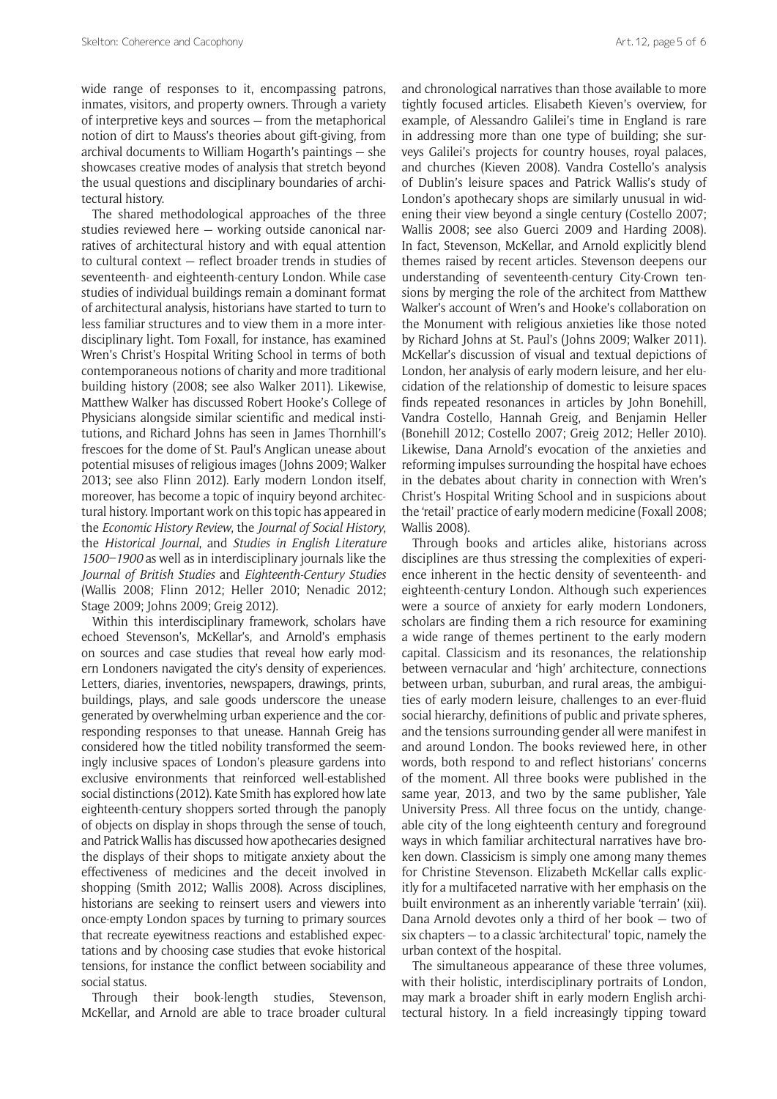wide range of responses to it, encompassing patrons, inmates, visitors, and property owners. Through a variety of interpretive keys and sources — from the metaphorical notion of dirt to Mauss's theories about gift-giving, from archival documents to William Hogarth's paintings — she showcases creative modes of analysis that stretch beyond the usual questions and disciplinary boundaries of architectural history.

The shared methodological approaches of the three studies reviewed here — working outside canonical narratives of architectural history and with equal attention to cultural context — reflect broader trends in studies of seventeenth- and eighteenth-century London. While case studies of individual buildings remain a dominant format of architectural analysis, historians have started to turn to less familiar structures and to view them in a more interdisciplinary light. Tom Foxall, for instance, has examined Wren's Christ's Hospital Writing School in terms of both contemporaneous notions of charity and more traditional building history (2008; see also Walker 2011). Likewise, Matthew Walker has discussed Robert Hooke's College of Physicians alongside similar scientific and medical institutions, and Richard Johns has seen in James Thornhill's frescoes for the dome of St. Paul's Anglican unease about potential misuses of religious images (Johns 2009; Walker 2013; see also Flinn 2012). Early modern London itself, moreover, has become a topic of inquiry beyond architectural history. Important work on this topic has appeared in the *Economic History Review*, the *Journal of Social History*, the *Historical Journal*, and *Studies in English Literature 1500–1900* as well as in interdisciplinary journals like the *Journal of British Studies* and *Eighteenth-Century Studies*  (Wallis 2008; Flinn 2012; Heller 2010; Nenadic 2012; Stage 2009; Johns 2009; Greig 2012).

Within this interdisciplinary framework, scholars have echoed Stevenson's, McKellar's, and Arnold's emphasis on sources and case studies that reveal how early modern Londoners navigated the city's density of experiences. Letters, diaries, inventories, newspapers, drawings, prints, buildings, plays, and sale goods underscore the unease generated by overwhelming urban experience and the corresponding responses to that unease. Hannah Greig has considered how the titled nobility transformed the seemingly inclusive spaces of London's pleasure gardens into exclusive environments that reinforced well-established social distinctions (2012). Kate Smith has explored how late eighteenth-century shoppers sorted through the panoply of objects on display in shops through the sense of touch, and Patrick Wallis has discussed how apothecaries designed the displays of their shops to mitigate anxiety about the effectiveness of medicines and the deceit involved in shopping (Smith 2012; Wallis 2008). Across disciplines, historians are seeking to reinsert users and viewers into once-empty London spaces by turning to primary sources that recreate eyewitness reactions and established expectations and by choosing case studies that evoke historical tensions, for instance the conflict between sociability and social status.

Through their book-length studies, Stevenson, McKellar, and Arnold are able to trace broader cultural

and chronological narratives than those available to more tightly focused articles. Elisabeth Kieven's overview, for example, of Alessandro Galilei's time in England is rare in addressing more than one type of building; she surveys Galilei's projects for country houses, royal palaces, and churches (Kieven 2008). Vandra Costello's analysis of Dublin's leisure spaces and Patrick Wallis's study of London's apothecary shops are similarly unusual in widening their view beyond a single century (Costello 2007; Wallis 2008; see also Guerci 2009 and Harding 2008). In fact, Stevenson, McKellar, and Arnold explicitly blend themes raised by recent articles. Stevenson deepens our understanding of seventeenth-century City-Crown tensions by merging the role of the architect from Matthew Walker's account of Wren's and Hooke's collaboration on the Monument with religious anxieties like those noted by Richard Johns at St. Paul's (Johns 2009; Walker 2011). McKellar's discussion of visual and textual depictions of London, her analysis of early modern leisure, and her elucidation of the relationship of domestic to leisure spaces finds repeated resonances in articles by John Bonehill, Vandra Costello, Hannah Greig, and Benjamin Heller (Bonehill 2012; Costello 2007; Greig 2012; Heller 2010). Likewise, Dana Arnold's evocation of the anxieties and reforming impulses surrounding the hospital have echoes in the debates about charity in connection with Wren's Christ's Hospital Writing School and in suspicions about the 'retail' practice of early modern medicine (Foxall 2008; Wallis 2008).

Through books and articles alike, historians across disciplines are thus stressing the complexities of experience inherent in the hectic density of seventeenth- and eighteenth-century London. Although such experiences were a source of anxiety for early modern Londoners, scholars are finding them a rich resource for examining a wide range of themes pertinent to the early modern capital. Classicism and its resonances, the relationship between vernacular and 'high' architecture, connections between urban, suburban, and rural areas, the ambiguities of early modern leisure, challenges to an ever-fluid social hierarchy, definitions of public and private spheres, and the tensions surrounding gender all were manifest in and around London. The books reviewed here, in other words, both respond to and reflect historians' concerns of the moment. All three books were published in the same year, 2013, and two by the same publisher, Yale University Press. All three focus on the untidy, changeable city of the long eighteenth century and foreground ways in which familiar architectural narratives have broken down. Classicism is simply one among many themes for Christine Stevenson. Elizabeth McKellar calls explicitly for a multifaceted narrative with her emphasis on the built environment as an inherently variable 'terrain' (xii). Dana Arnold devotes only a third of her book — two of six chapters — to a classic 'architectural' topic, namely the urban context of the hospital.

The simultaneous appearance of these three volumes, with their holistic, interdisciplinary portraits of London, may mark a broader shift in early modern English architectural history. In a field increasingly tipping toward